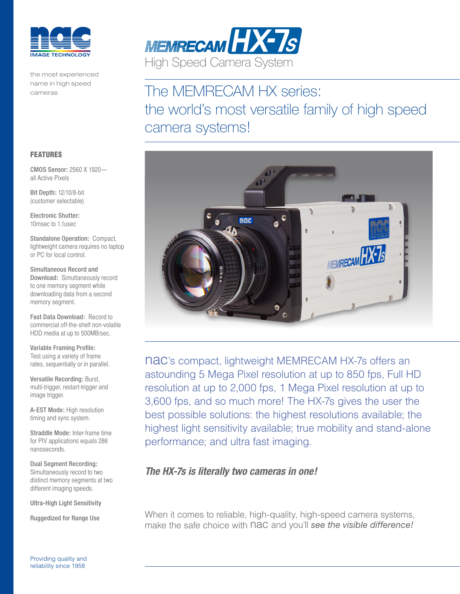

the most experienced name in high speed cameras



# The MEMRECAM HX series: the world's most versatile family of high speed camera systems!



nac's compact, lightweight MEMRECAM HX-7s offers an astounding 5 Mega Pixel resolution at up to 850 fps, Full HD resolution at up to 2,000 fps, 1 Mega Pixel resolution at up to 3,600 fps, and so much more! The HX-7s gives the user the best possible solutions: the highest resolutions available; the highest light sensitivity available; true mobility and stand-alone performance; and ultra fast imaging.

### *The HX-7s is literally two cameras in one!*

When it comes to reliable, high-quality, high-speed camera systems, make the safe choice with nac and you'll *see the visible difference!*

#### FEATURES

CMOS Sensor: 2560 X 1920 all Active Pixels

Bit Depth: 12/10/8-bit (customer selectable)

Electronic Shutter: 10msec to 1.1usec

Standalone Operation: Compact, lightweight camera requires no laptop or PC for local control.

Simultaneous Record and Download: Simultaneously record to one memory segment while downloading data from a second memory segment.

Fast Data Download: Record to commercial off-the-shelf non-volatile HDD media at up to 500MB/sec.

Variable Framing Profile: Test using a variety of frame rates, sequentially or in parallel.

Versatile Recording: Burst, multi-trigger, restart-trigger and image trigger.

A-EST Mode: High resolution timing and sync system.

Straddle Mode: Inter-frame time for PIV applications equals 286 nanoseconds.

Dual Segment Recording: Simultaneously record to two distinct memory segments at two different imaging speeds.

Ultra-High Light Sensitivity

Ruggedized for Range Use